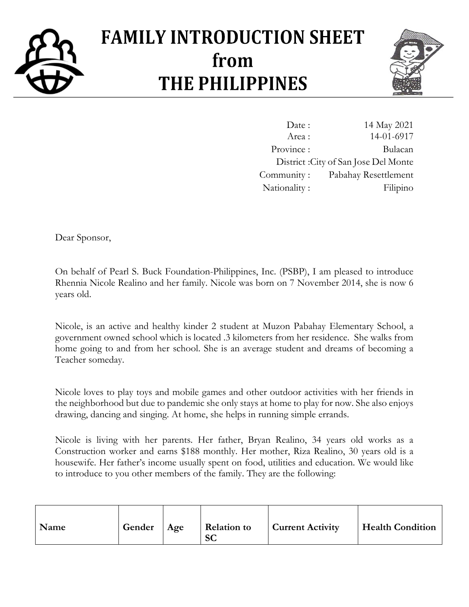## **FAMILY INTRODUCTION SHEET** from **THE PHILIPPINES**



| Date:        | 14 May 2021                          |
|--------------|--------------------------------------|
| Area:        | 14-01-6917                           |
| Province:    | Bulacan                              |
|              | District: City of San Jose Del Monte |
| Community:   | Pabahay Resettlement                 |
| Nationality: | Filipino                             |
|              |                                      |

Dear Sponsor,

On behalf of Pearl S. Buck Foundation-Philippines, Inc. (PSBP), I am pleased to introduce Rhennia Nicole Realino and her family. Nicole was born on 7 November 2014, she is now 6 years old.

Nicole, is an active and healthy kinder 2 student at Muzon Pabahay Elementary School, a government owned school which is located .3 kilometers from her residence. She walks from home going to and from her school. She is an average student and dreams of becoming a Teacher someday.

Nicole loves to play toys and mobile games and other outdoor activities with her friends in the neighborhood but due to pandemic she only stays at home to play for now. She also enjoys drawing, dancing and singing. At home, she helps in running simple errands.

Nicole is living with her parents. Her father, Bryan Realino, 34 years old works as a Construction worker and earns \$188 monthly. Her mother, Riza Realino, 30 years old is a housewife. Her father's income usually spent on food, utilities and education. We would like to introduce to you other members of the family. They are the following:

| Name | Gender | Age | <b>Relation to</b><br>SC | <b>Current Activity</b> | <b>Health Condition</b> |
|------|--------|-----|--------------------------|-------------------------|-------------------------|
|------|--------|-----|--------------------------|-------------------------|-------------------------|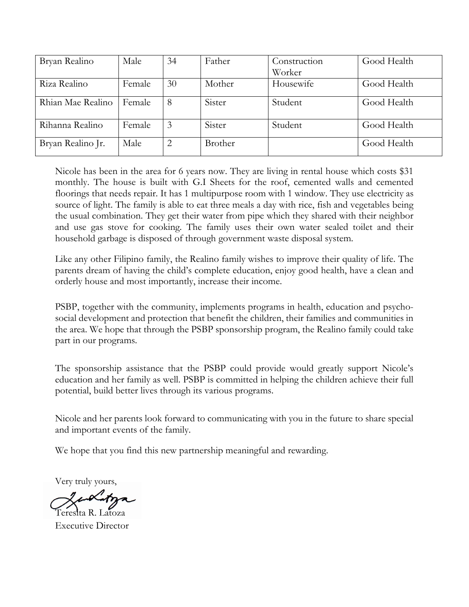| Bryan Realino     | Male   | 34 | Father         | Construction<br>Worker | Good Health |
|-------------------|--------|----|----------------|------------------------|-------------|
| Riza Realino      | Female | 30 | Mother         | Housewife              | Good Health |
| Rhian Mae Realino | Female | 8  | Sister         | Student                | Good Health |
| Rihanna Realino   | Female | 3  | Sister         | Student                | Good Health |
| Bryan Realino Jr. | Male   | っ  | <b>Brother</b> |                        | Good Health |

Nicole has been in the area for 6 years now. They are living in rental house which costs \$31 monthly. The house is built with G.I Sheets for the roof, cemented walls and cemented floorings that needs repair. It has 1 multipurpose room with 1 window. They use electricity as source of light. The family is able to eat three meals a day with rice, fish and vegetables being the usual combination. They get their water from pipe which they shared with their neighbor and use gas stove for cooking. The family uses their own water sealed toilet and their household garbage is disposed of through government waste disposal system.

Like any other Filipino family, the Realino family wishes to improve their quality of life. The parents dream of having the child's complete education, enjoy good health, have a clean and orderly house and most importantly, increase their income.

PSBP, together with the community, implements programs in health, education and psychosocial development and protection that benefit the children, their families and communities in the area. We hope that through the PSBP sponsorship program, the Realino family could take part in our programs.

The sponsorship assistance that the PSBP could provide would greatly support Nicole's education and her family as well. PSBP is committed in helping the children achieve their full potential, build better lives through its various programs.

Nicole and her parents look forward to communicating with you in the future to share special and important events of the family.

We hope that you find this new partnership meaningful and rewarding.

Very truly yours,

Teresita R. Latoza

Executive Director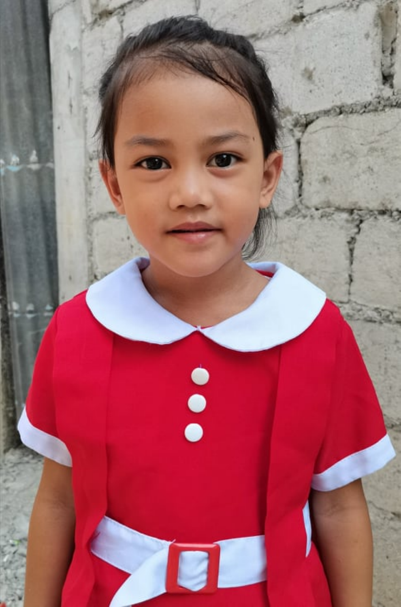